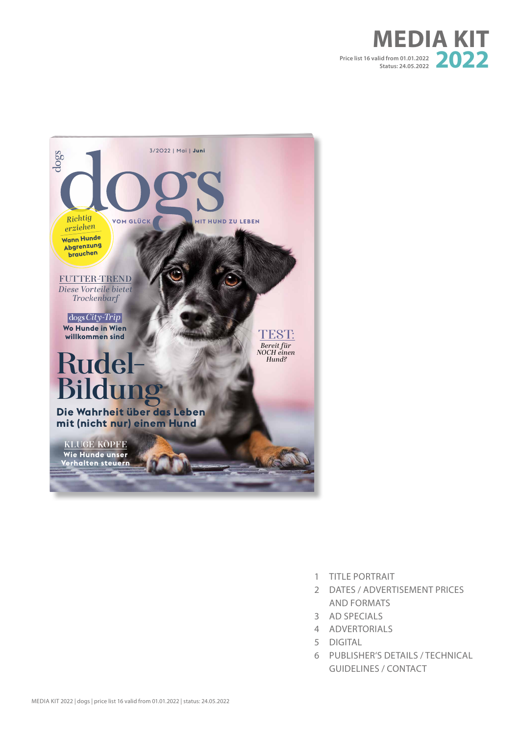



- 1 TITLE PORTRAIT
- 2 DATES / ADVERTISEMENT PRICES AND FORMATS
- 3 AD SPECIALS
- 4 ADVERTORIALS
- 5 DIGITAL
- 6 PUBLISHER'S DETAILS / TECHNICAL GUIDELINES / CONTACT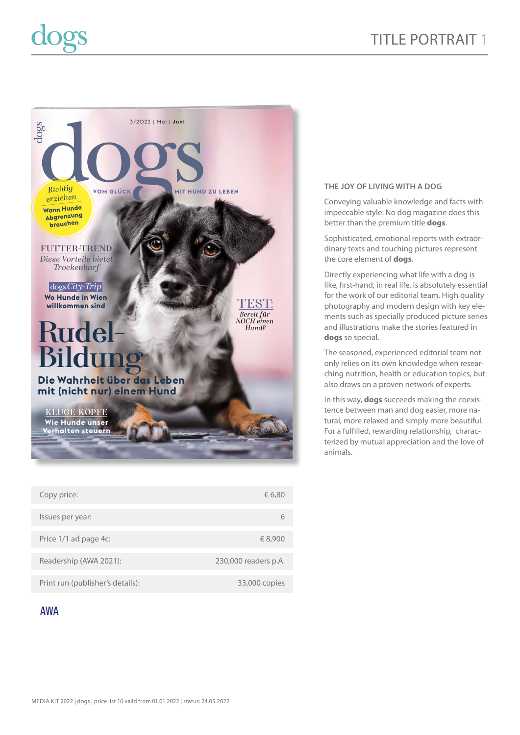

| Copy price:                      | € 6,80               |
|----------------------------------|----------------------|
| Issues per year:                 |                      |
|                                  |                      |
| Price 1/1 ad page 4c:            | € 8,900              |
|                                  |                      |
| Readership (AWA 2021):           | 230,000 readers p.A. |
|                                  |                      |
| Print run (publisher's details): | 33,000 copies        |

# **AWA**

# **THE JOY OF LIVING WITH A DOG**

Conveying valuable knowledge and facts with impeccable style: No dog magazine does this better than the premium title **dogs**.

Sophisticated, emotional reports with extraordinary texts and touching pictures represent the core element of **dogs**.

Directly experiencing what life with a dog is like, first-hand, in real life, is absolutely essential for the work of our editorial team. High quality photography and modern design with key elements such as specially produced picture series and illustrations make the stories featured in **dogs** so special.

The seasoned, experienced editorial team not only relies on its own knowledge when researching nutrition, health or education topics, but also draws on a proven network of experts.

In this way, **dogs** succeeds making the coexistence between man and dog easier, more natural, more relaxed and simply more beautiful. For a fulfilled, rewarding relationship, characterized by mutual appreciation and the love of animals.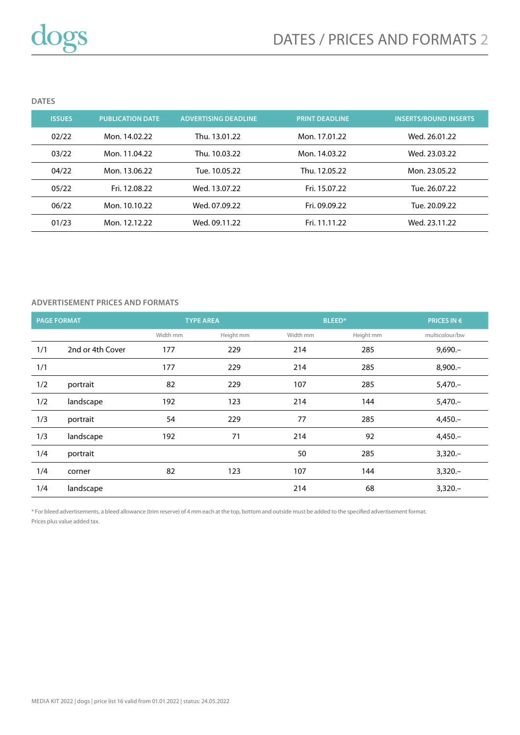**DATES**

| <b>ISSUES</b> | <b>PUBLICATION DATE</b> | <b>ADVERTISING DEADLINE</b> | <b>PRINT DEADLINE</b> | <b>INSERTS/BOUND INSERTS</b> |
|---------------|-------------------------|-----------------------------|-----------------------|------------------------------|
| 02/22         | Mon. 14.02.22           | Thu. 13.01.22               | Mon. 17.01.22         | Wed. 26.01.22                |
| 03/22         | Mon. 11.04.22           | Thu. 10.03.22               | Mon. 14.03.22         | Wed. 23.03.22                |
| 04/22         | Mon. 13.06.22           | Tue. 10.05.22               | Thu. 12.05.22         | Mon. 23.05.22                |
| 05/22         | Fri. 12.08.22           | Wed. 13.07.22               | Fri. 15.07.22         | Tue. 26.07.22                |
| 06/22         | Mon. 10.10.22           | Wed. 07.09.22               | Fri. 09.09.22         | Tue. 20.09.22                |
| 01/23         | Mon. 12.12.22           | Wed. 09.11.22               | Fri. 11.11.22         | Wed. 23.11.22                |

# **ADVERTISEMENT PRICES AND FORMATS**

| <b>PAGE FORMAT</b> |                  |          | <b>TYPE AREA</b><br><b>BLEED*</b> |          | <b>PRICES IN <math>\epsilon</math></b> |                |
|--------------------|------------------|----------|-----------------------------------|----------|----------------------------------------|----------------|
|                    |                  | Width mm | Height mm                         | Width mm | Height mm                              | multicolour/bw |
| 1/1                | 2nd or 4th Cover | 177      | 229                               | 214      | 285                                    | $9,690 -$      |
| 1/1                |                  | 177      | 229                               | 214      | 285                                    | $8,900 -$      |
| 1/2                | portrait         | 82       | 229                               | 107      | 285                                    | $5,470-$       |
| 1/2                | landscape        | 192      | 123                               | 214      | 144                                    | $5,470-$       |
| 1/3                | portrait         | 54       | 229                               | 77       | 285                                    | $4,450-$       |
| 1/3                | landscape        | 192      | 71                                | 214      | 92                                     | $4,450-$       |
| 1/4                | portrait         |          |                                   | 50       | 285                                    | $3,320-$       |
| 1/4                | corner           | 82       | 123                               | 107      | 144                                    | $3,320-$       |
| 1/4                | landscape        |          |                                   | 214      | 68                                     | $3,320-$       |

\* For bleed advertisements, a bleed allowance (trim reserve) of 4 mm each at the top, bottom and outside must be added to the specified advertisement format. Prices plus value added tax.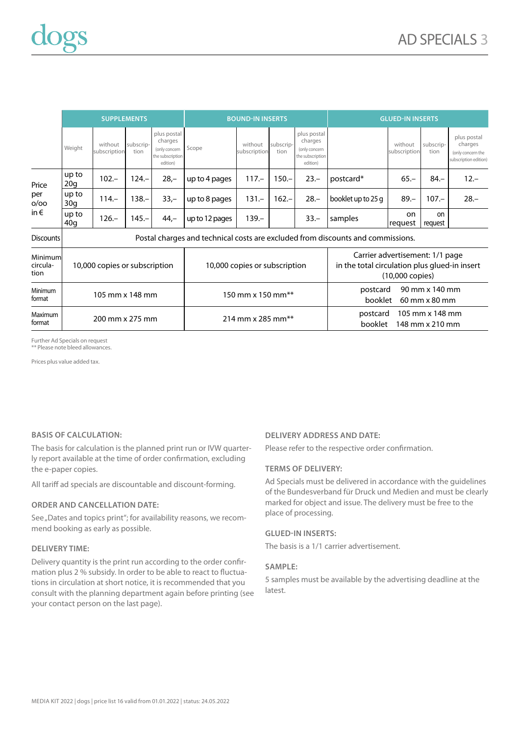|                                       | <b>SUPPLEMENTS</b>                                                               |                         |                   |                                                                         | <b>BOUND-IN INSERTS</b> |                         |                   | <b>GLUED-IN INSERTS</b>                                                 |                    |                         |                          |                                                                      |
|---------------------------------------|----------------------------------------------------------------------------------|-------------------------|-------------------|-------------------------------------------------------------------------|-------------------------|-------------------------|-------------------|-------------------------------------------------------------------------|--------------------|-------------------------|--------------------------|----------------------------------------------------------------------|
|                                       | Weight                                                                           | without<br>subscription | subscrip-<br>tion | plus postal<br>charges<br>(only concern<br>the subscription<br>edition) | Scope                   | without<br>subscription | subscrip-<br>tion | plus postal<br>charges<br>(only concern<br>the subscription<br>edition) |                    | without<br>subscription | subscrip-<br>tion        | plus postal<br>charges<br>(only concern the<br>subscription edition) |
| Price<br>per<br>O/OO<br>in $\epsilon$ | up to<br>20a                                                                     | $102 -$                 | $124 -$           | $28 -$                                                                  | up to 4 pages           | $117 -$                 | $150 -$           | $23 -$                                                                  | postcard*          | $65 -$                  | $84 -$                   | $12 -$                                                               |
|                                       | up to<br>30q                                                                     | $114 -$                 | $38 -$            | $33 -$                                                                  | up to 8 pages           | $131 -$                 | $162 -$           | $28 -$                                                                  | booklet up to 25 g | $89 -$                  | $107 -$                  | $28 -$                                                               |
|                                       | up to<br>40q                                                                     | $126 -$                 | $145 -$           | $44,-$                                                                  | up to 12 pages          | $139 -$                 |                   | $33 -$                                                                  | samples            | on<br>request           | <sub>on</sub><br>request |                                                                      |
| $Dic$ caimte                          | Doctal charges and to chaige Leaste are overluded from discounts and commissions |                         |                   |                                                                         |                         |                         |                   |                                                                         |                    |                         |                          |                                                                      |

| <b>DISCOUTILS</b>           | POStal Charges and technical costs are excluded from discounts and commissions. |                               |                                                                                                               |  |  |  |  |
|-----------------------------|---------------------------------------------------------------------------------|-------------------------------|---------------------------------------------------------------------------------------------------------------|--|--|--|--|
| Minimum<br>circula-<br>tion | 10,000 copies or subscription                                                   | 10,000 copies or subscription | Carrier advertisement: 1/1 page<br>in the total circulation plus glued-in insert<br>$(10,000 \text{ copies})$ |  |  |  |  |
| Minimum<br>format           | 105 mm x 148 mm                                                                 | 150 mm x 150 mm**             | 90 mm x 140 mm<br>postcard<br>booklet<br>$60$ mm $\times$ 80 mm                                               |  |  |  |  |
| Maximum<br>format           | 200 mm x 275 mm                                                                 | 214 mm x 285 mm**             | 105 mm x 148 mm<br>postcard<br>148 mm x 210 mm<br>booklet                                                     |  |  |  |  |

Further Ad Specials on request \*\* Please note bleed allowances.

Prices plus value added tax.

### **BASIS OF CALCULATION:**

The basis for calculation is the planned print run or IVW quarterly report available at the time of order confirmation, excluding the e-paper copies.

All tariff ad specials are discountable and discount-forming.

## **ORDER AND CANCELLATION DATE:**

See "Dates and topics print"; for availability reasons, we recommend booking as early as possible.

### **DELIVERY TIME:**

Delivery quantity is the print run according to the order confirmation plus 2 % subsidy. In order to be able to react to fluctuations in circulation at short notice, it is recommended that you consult with the planning department again before printing (see your contact person on the last page).

### **DELIVERY ADDRESS AND DATE:**

Please refer to the respective order confirmation.

### **TERMS OF DELIVERY:**

Ad Specials must be delivered in accordance with the guidelines of the Bundesverband für Druck und Medien and must be clearly marked for object and issue. The delivery must be free to the place of processing.

### **GLUED-IN INSERTS:**

The basis is a 1/1 carrier advertisement.

### **SAMPLE:**

5 samples must be available by the advertising deadline at the latest.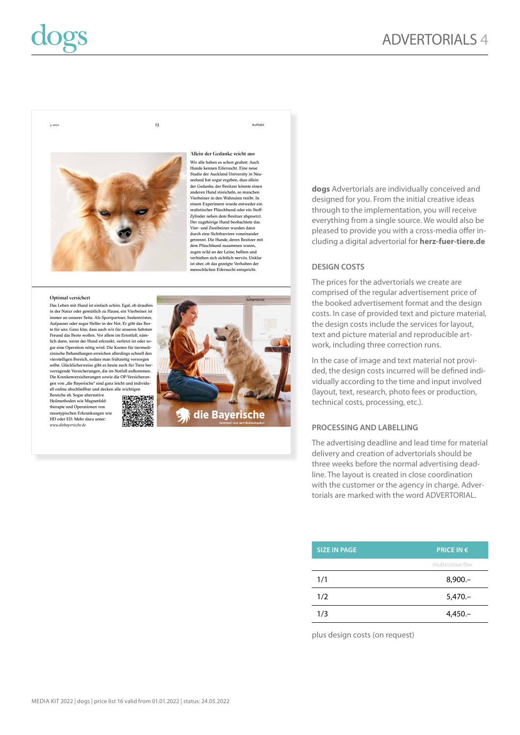**dogs** Advertorials are individually conceived and designed for you. From the initial creative ideas through to the implementation, you will receive everything from a single source. We would also be pleased to provide you with a cross-media offer including a digital advertorial for **herz-fuer-tiere.de**

# **DESIGN COSTS**

The prices for the advertorials we create are comprised of the regular advertisement price of the booked advertisement format and the design costs. In case of provided text and picture material, the design costs include the services for layout, text and picture material and reproducible artwork, including three correction runs.

In the case of image and text material not provided, the design costs incurred will be defined individually according to the time and input involved (layout, text, research, photo fees or production, technical costs, processing, etc.).

# **PROCESSING AND LABELLING**

The advertising deadline and lead time for material delivery and creation of advertorials should be three weeks before the normal advertising deadline. The layout is created in close coordination with the customer or the agency in charge. Advertorials are marked with the word ADVERTORIAL.

**SIZE IN PAGE PRICE IN €** 

1/1 8,900.–

1/2 5,470.– 1/3 4,450.–

multicolour/bw

|  |  | plus design costs (on request) |  |
|--|--|--------------------------------|--|



Allein der Gedanke reicht aus Wir alle haben es schon geahnt: Auch Hunde kennen Eifersucht. Eine neue Studie der Auckland University in Neuseeland hat sogar ergeben, dass allein der Gedanke, der Besitzer könnte einen anderen Hund streicheln, so manchen Vierbeiner in den Wahnsinn treibt. In einem Experiment wurde entweder ein realistischer Plüschhund oder ein Stoff-Zylinder neben dem Besitzer abgesetzt. Der zugehörige Hund beobachtete das. Vier- und Zweibeiner wurden dann durch eine Sichtbarriere voneinander getrennt. Die Hunde, deren Besitzer mit dem Plüschhund zusammen waren, zogen wild an der Leine, bellten und verhielten sich sichtlich nervös. Unklar ist aber, ob das gezeigte Verhalten der menschlichen Eifersucht entspricht.

in der Natur oder gemütlich zu Hause, ein Vierbeiner ist immer an unserer Seite. Als Sportpartner, Seelentröster, Aufpasser oder sogar Helfer in der Not. Er gibt das Beste für uns. Ganz klar, dass auch wir für unseren liebsten Freund das Beste wollen. Vor allem im Ernstfall, nämlich dann, wenn der Hund erkrankt, verletzt ist oder sogar eine Operation nötig wird. Die Kosten für tiermedizinische Behandlungen erreichen allerdings schnell den vierstelligen Bereich, sodass man frühzeitig vorsorgen sollte. Glücklicherweise gibt es heute auch für Tiere hervorragende Versicherungen, die im Notfall aufkommen. Die Krankenversicherungen sowie die OP-Versicherungen von "die Bayerische" sind ganz leicht und individu-ell online abschließbar und decken alle wichtigen

Bereiche ab. Sogar alternative Heilmethoden wie Magnetfeldtherapie und Operationen von rassetypischen Erkrankungen wie HD oder ED. Mehr dazu unter: *www.diebayerische.de*







### 4. 2021 13 Auftakt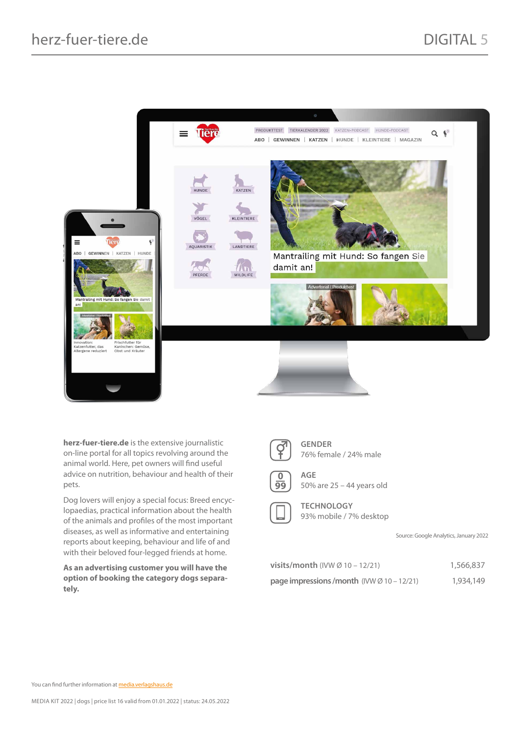

**herz-fuer-tiere.de** is the extensive journalistic on-line portal for all topics revolving around the animal world. Here, pet owners will find useful advice on nutrition, behaviour and health of their pets.

Dog lovers will enjoy a special focus: Breed encyclopaedias, practical information about the health of the animals and profiles of the most important diseases, as well as informative and entertaining reports about keeping, behaviour and life of and with their beloved four-legged friends at home.

**As an advertising customer you will have the option of booking the category dogs separately.**

| v |  |
|---|--|
| × |  |

**GENDER** 76% female / 24% male



**AGE** 50% are 25 – 44 years old

**TECHNOLOGY** 93% mobile / 7% desktop

Source: Google Analytics, January 2022

| <b>visits/month</b> (IVW $\varnothing$ 10 – 12/21) | 1,566,837 |
|----------------------------------------------------|-----------|
| page impressions/month $(IVW \oslash 10 - 12/21)$  | 1,934,149 |

You can find further information at **media.verlagshaus.de**